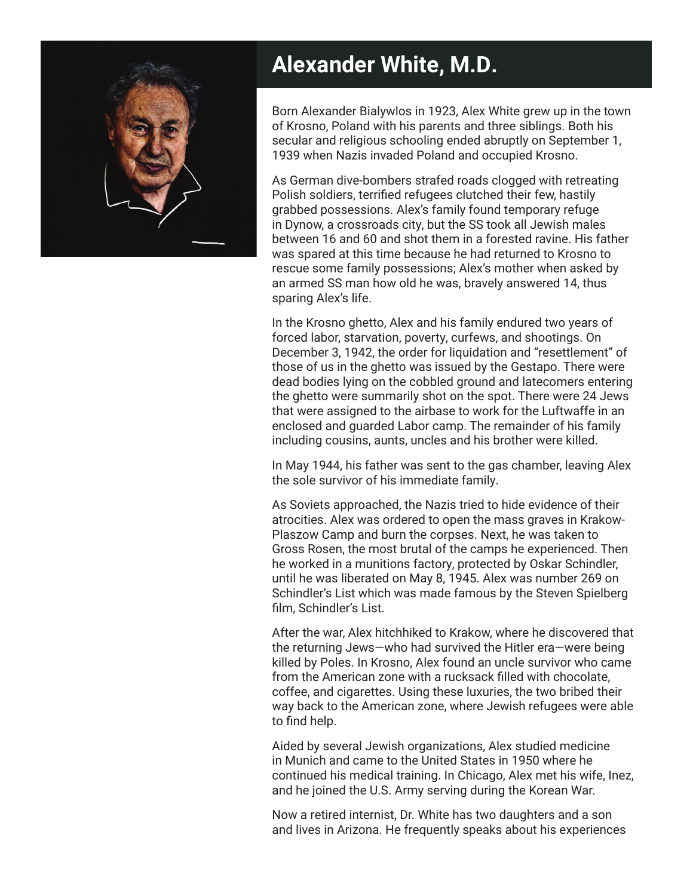

## **Alexander White, M.D.**

Born Alexander Bialywlos in 1923, Alex White grew up in the town of Krosno, Poland with his parents and three siblings. Both his secular and religious schooling ended abruptly on September 1, 1939 when Nazis invaded Poland and occupied Krosno.

As German dive-bombers strafed roads clogged with retreating Polish soldiers, terrified refugees clutched their few, hastily grabbed possessions. Alex's family found temporary refuge in Dynow, a crossroads city, but the SS took all Jewish males between 16 and 60 and shot them in a forested ravine. His father was spared at this time because he had returned to Krosno to rescue some family possessions; Alex's mother when asked by an armed SS man how old he was, bravely answered 14, thus sparing Alex's life.

In the Krosno ghetto, Alex and his family endured two years of forced labor, starvation, poverty, curfews, and shootings. On December 3, 1942, the order for liquidation and "resettlement" of those of us in the ghetto was issued by the Gestapo. There were dead bodies lying on the cobbled ground and latecomers entering the ghetto were summarily shot on the spot. There were 24 Jews that were assigned to the airbase to work for the Luftwaffe in an enclosed and guarded Labor camp. The remainder of his family including cousins, aunts, uncles and his brother were killed.

In May 1944, his father was sent to the gas chamber, leaving Alex the sole survivor of his immediate family.

As Soviets approached, the Nazis tried to hide evidence of their atrocities. Alex was ordered to open the mass graves in Krakow-Plaszow Camp and burn the corpses. Next, he was taken to Gross Rosen, the most brutal of the camps he experienced. Then he worked in a munitions factory, protected by Oskar Schindler, until he was liberated on May 8, 1945. Alex was number 269 on Schindler's List which was made famous by the Steven Spielberg film, Schindler's List.

After the war, Alex hitchhiked to Krakow, where he discovered that the returning Jews—who had survived the Hitler era—were being killed by Poles. In Krosno, Alex found an uncle survivor who came from the American zone with a rucksack filled with chocolate, coffee, and cigarettes. Using these luxuries, the two bribed their way back to the American zone, where Jewish refugees were able to find help.

Aided by several Jewish organizations, Alex studied medicine in Munich and came to the United States in 1950 where he continued his medical training. In Chicago, Alex met his wife, Inez, and he joined the U.S. Army serving during the Korean War.

Now a retired internist, Dr. White has two daughters and a son and lives in Arizona. He frequently speaks about his experiences